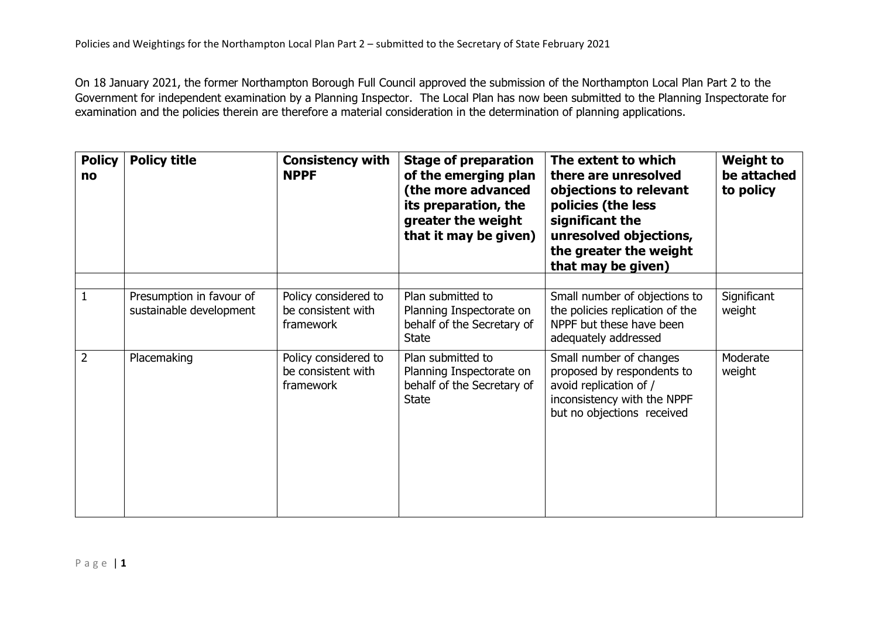On 18 January 2021, the former Northampton Borough Full Council approved the submission of the Northampton Local Plan Part 2 to the Government for independent examination by a Planning Inspector. The Local Plan has now been submitted to the Planning Inspectorate for examination and the policies therein are therefore a material consideration in the determination of planning applications.

| <b>Policy</b><br>no | <b>Policy title</b>                                 | <b>Consistency with</b><br><b>NPPF</b>                  | <b>Stage of preparation</b><br>of the emerging plan<br>(the more advanced<br>its preparation, the<br>greater the weight<br>that it may be given) | The extent to which<br>there are unresolved<br>objections to relevant<br>policies (the less<br>significant the<br>unresolved objections,<br>the greater the weight<br>that may be given) | <b>Weight to</b><br>be attached<br>to policy |
|---------------------|-----------------------------------------------------|---------------------------------------------------------|--------------------------------------------------------------------------------------------------------------------------------------------------|------------------------------------------------------------------------------------------------------------------------------------------------------------------------------------------|----------------------------------------------|
| $\mathbf{1}$        | Presumption in favour of<br>sustainable development | Policy considered to<br>be consistent with<br>framework | Plan submitted to<br>Planning Inspectorate on<br>behalf of the Secretary of<br><b>State</b>                                                      | Small number of objections to<br>the policies replication of the<br>NPPF but these have been<br>adequately addressed                                                                     | Significant<br>weight                        |
| $\overline{2}$      | Placemaking                                         | Policy considered to<br>be consistent with<br>framework | Plan submitted to<br>Planning Inspectorate on<br>behalf of the Secretary of<br><b>State</b>                                                      | Small number of changes<br>proposed by respondents to<br>avoid replication of /<br>inconsistency with the NPPF<br>but no objections received                                             | Moderate<br>weight                           |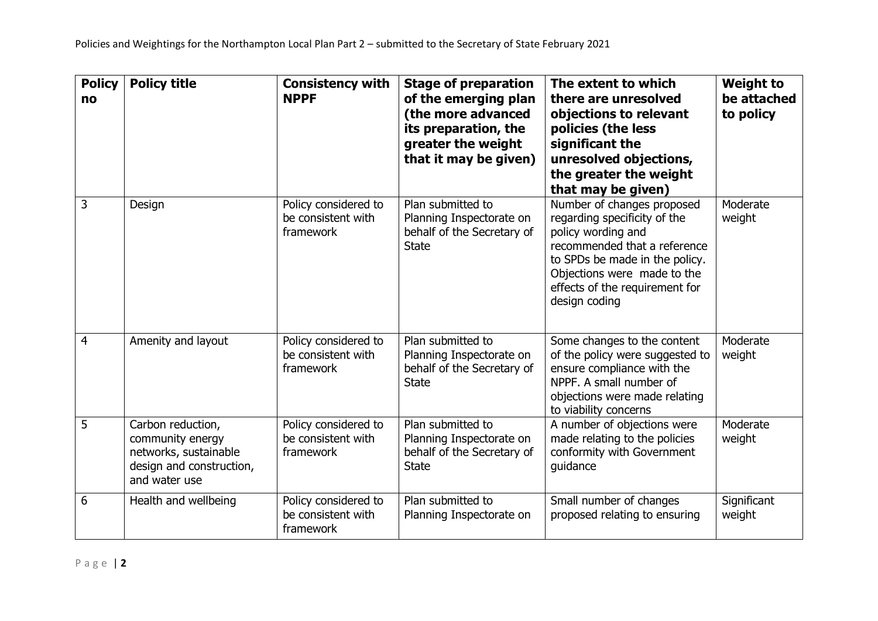| <b>Policy</b><br>no | <b>Policy title</b>                                                                                         | <b>Consistency with</b><br><b>NPPF</b>                  | <b>Stage of preparation</b><br>of the emerging plan<br>(the more advanced<br>its preparation, the<br>greater the weight<br>that it may be given) | The extent to which<br>there are unresolved<br>objections to relevant<br>policies (the less<br>significant the<br>unresolved objections,<br>the greater the weight<br>that may be given)                                             | <b>Weight to</b><br>be attached<br>to policy |
|---------------------|-------------------------------------------------------------------------------------------------------------|---------------------------------------------------------|--------------------------------------------------------------------------------------------------------------------------------------------------|--------------------------------------------------------------------------------------------------------------------------------------------------------------------------------------------------------------------------------------|----------------------------------------------|
| 3                   | Design                                                                                                      | Policy considered to<br>be consistent with<br>framework | Plan submitted to<br>Planning Inspectorate on<br>behalf of the Secretary of<br><b>State</b>                                                      | Number of changes proposed<br>regarding specificity of the<br>policy wording and<br>recommended that a reference<br>to SPDs be made in the policy.<br>Objections were made to the<br>effects of the requirement for<br>design coding | Moderate<br>weight                           |
| $\overline{4}$      | Amenity and layout                                                                                          | Policy considered to<br>be consistent with<br>framework | Plan submitted to<br>Planning Inspectorate on<br>behalf of the Secretary of<br><b>State</b>                                                      | Some changes to the content<br>of the policy were suggested to<br>ensure compliance with the<br>NPPF. A small number of<br>objections were made relating<br>to viability concerns                                                    | Moderate<br>weight                           |
| 5                   | Carbon reduction,<br>community energy<br>networks, sustainable<br>design and construction,<br>and water use | Policy considered to<br>be consistent with<br>framework | Plan submitted to<br>Planning Inspectorate on<br>behalf of the Secretary of<br><b>State</b>                                                      | A number of objections were<br>made relating to the policies<br>conformity with Government<br>guidance                                                                                                                               | Moderate<br>weight                           |
| 6                   | Health and wellbeing                                                                                        | Policy considered to<br>be consistent with<br>framework | Plan submitted to<br>Planning Inspectorate on                                                                                                    | Small number of changes<br>proposed relating to ensuring                                                                                                                                                                             | Significant<br>weight                        |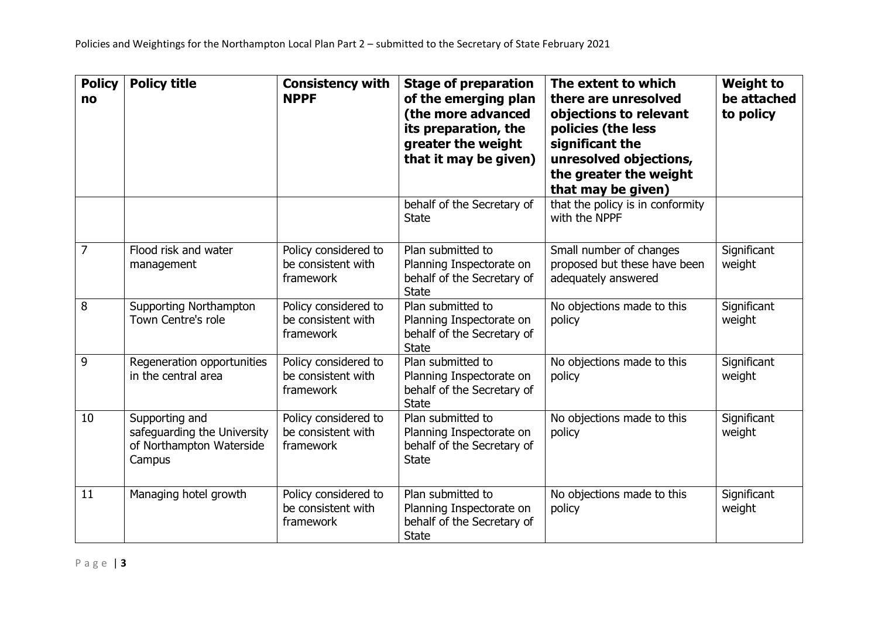| <b>Policy</b><br>no | <b>Policy title</b>                                                                 | <b>Consistency with</b><br><b>NPPF</b>                  | <b>Stage of preparation</b><br>of the emerging plan<br>(the more advanced<br>its preparation, the<br>greater the weight<br>that it may be given) | The extent to which<br>there are unresolved<br>objections to relevant<br>policies (the less<br>significant the<br>unresolved objections,<br>the greater the weight<br>that may be given) | <b>Weight to</b><br>be attached<br>to policy |
|---------------------|-------------------------------------------------------------------------------------|---------------------------------------------------------|--------------------------------------------------------------------------------------------------------------------------------------------------|------------------------------------------------------------------------------------------------------------------------------------------------------------------------------------------|----------------------------------------------|
|                     |                                                                                     |                                                         | behalf of the Secretary of<br><b>State</b>                                                                                                       | that the policy is in conformity<br>with the NPPF                                                                                                                                        |                                              |
| $\overline{7}$      | Flood risk and water<br>management                                                  | Policy considered to<br>be consistent with<br>framework | Plan submitted to<br>Planning Inspectorate on<br>behalf of the Secretary of<br><b>State</b>                                                      | Small number of changes<br>proposed but these have been<br>adequately answered                                                                                                           | Significant<br>weight                        |
| 8                   | <b>Supporting Northampton</b><br><b>Town Centre's role</b>                          | Policy considered to<br>be consistent with<br>framework | Plan submitted to<br>Planning Inspectorate on<br>behalf of the Secretary of<br><b>State</b>                                                      | No objections made to this<br>policy                                                                                                                                                     | Significant<br>weight                        |
| 9                   | Regeneration opportunities<br>in the central area                                   | Policy considered to<br>be consistent with<br>framework | Plan submitted to<br>Planning Inspectorate on<br>behalf of the Secretary of<br><b>State</b>                                                      | No objections made to this<br>policy                                                                                                                                                     | Significant<br>weight                        |
| 10                  | Supporting and<br>safeguarding the University<br>of Northampton Waterside<br>Campus | Policy considered to<br>be consistent with<br>framework | Plan submitted to<br>Planning Inspectorate on<br>behalf of the Secretary of<br><b>State</b>                                                      | No objections made to this<br>policy                                                                                                                                                     | Significant<br>weight                        |
| 11                  | Managing hotel growth                                                               | Policy considered to<br>be consistent with<br>framework | Plan submitted to<br>Planning Inspectorate on<br>behalf of the Secretary of<br><b>State</b>                                                      | No objections made to this<br>policy                                                                                                                                                     | Significant<br>weight                        |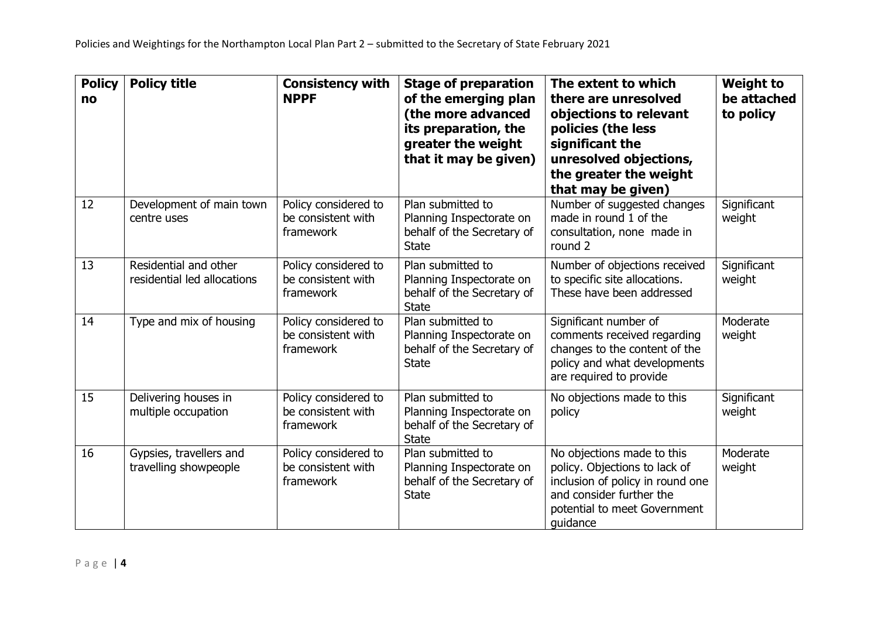| <b>Policy</b><br>no | <b>Policy title</b>                                  | <b>Consistency with</b><br><b>NPPF</b>                  | <b>Stage of preparation</b><br>of the emerging plan<br>(the more advanced<br>its preparation, the<br>greater the weight<br>that it may be given) | The extent to which<br>there are unresolved<br>objections to relevant<br>policies (the less<br>significant the<br>unresolved objections,<br>the greater the weight<br>that may be given) | <b>Weight to</b><br>be attached<br>to policy |
|---------------------|------------------------------------------------------|---------------------------------------------------------|--------------------------------------------------------------------------------------------------------------------------------------------------|------------------------------------------------------------------------------------------------------------------------------------------------------------------------------------------|----------------------------------------------|
| 12                  | Development of main town<br>centre uses              | Policy considered to<br>be consistent with<br>framework | Plan submitted to<br>Planning Inspectorate on<br>behalf of the Secretary of<br><b>State</b>                                                      | Number of suggested changes<br>made in round 1 of the<br>consultation, none made in<br>round 2                                                                                           | Significant<br>weight                        |
| 13                  | Residential and other<br>residential led allocations | Policy considered to<br>be consistent with<br>framework | Plan submitted to<br>Planning Inspectorate on<br>behalf of the Secretary of<br><b>State</b>                                                      | Number of objections received<br>to specific site allocations.<br>These have been addressed                                                                                              | Significant<br>weight                        |
| 14                  | Type and mix of housing                              | Policy considered to<br>be consistent with<br>framework | Plan submitted to<br>Planning Inspectorate on<br>behalf of the Secretary of<br><b>State</b>                                                      | Significant number of<br>comments received regarding<br>changes to the content of the<br>policy and what developments<br>are required to provide                                         | Moderate<br>weight                           |
| 15                  | Delivering houses in<br>multiple occupation          | Policy considered to<br>be consistent with<br>framework | Plan submitted to<br>Planning Inspectorate on<br>behalf of the Secretary of<br><b>State</b>                                                      | No objections made to this<br>policy                                                                                                                                                     | Significant<br>weight                        |
| 16                  | Gypsies, travellers and<br>travelling showpeople     | Policy considered to<br>be consistent with<br>framework | Plan submitted to<br>Planning Inspectorate on<br>behalf of the Secretary of<br><b>State</b>                                                      | No objections made to this<br>policy. Objections to lack of<br>inclusion of policy in round one<br>and consider further the<br>potential to meet Government<br>quidance                  | Moderate<br>weight                           |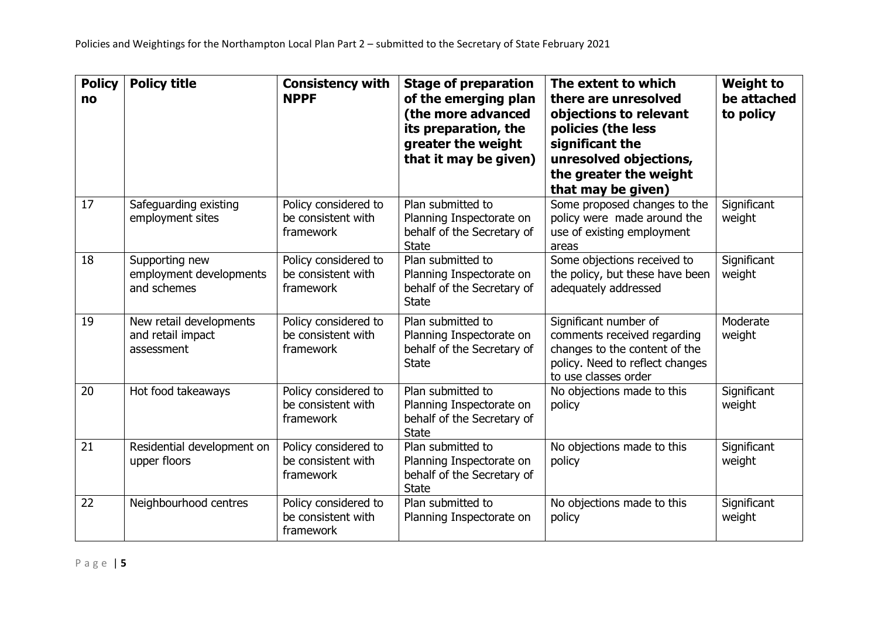| <b>Policy</b><br>no | <b>Policy title</b>                                        | <b>Consistency with</b><br><b>NPPF</b>                  | <b>Stage of preparation</b><br>of the emerging plan<br>(the more advanced<br>its preparation, the<br>greater the weight<br>that it may be given) | The extent to which<br>there are unresolved<br>objections to relevant<br>policies (the less<br>significant the<br>unresolved objections,<br>the greater the weight<br>that may be given) | <b>Weight to</b><br>be attached<br>to policy |
|---------------------|------------------------------------------------------------|---------------------------------------------------------|--------------------------------------------------------------------------------------------------------------------------------------------------|------------------------------------------------------------------------------------------------------------------------------------------------------------------------------------------|----------------------------------------------|
| 17                  | Safeguarding existing<br>employment sites                  | Policy considered to<br>be consistent with<br>framework | Plan submitted to<br>Planning Inspectorate on<br>behalf of the Secretary of<br><b>State</b>                                                      | Some proposed changes to the<br>policy were made around the<br>use of existing employment<br>areas                                                                                       | Significant<br>weight                        |
| 18                  | Supporting new<br>employment developments<br>and schemes   | Policy considered to<br>be consistent with<br>framework | Plan submitted to<br>Planning Inspectorate on<br>behalf of the Secretary of<br><b>State</b>                                                      | Some objections received to<br>the policy, but these have been<br>adequately addressed                                                                                                   | Significant<br>weight                        |
| 19                  | New retail developments<br>and retail impact<br>assessment | Policy considered to<br>be consistent with<br>framework | Plan submitted to<br>Planning Inspectorate on<br>behalf of the Secretary of<br><b>State</b>                                                      | Significant number of<br>comments received regarding<br>changes to the content of the<br>policy. Need to reflect changes<br>to use classes order                                         | Moderate<br>weight                           |
| 20                  | Hot food takeaways                                         | Policy considered to<br>be consistent with<br>framework | Plan submitted to<br>Planning Inspectorate on<br>behalf of the Secretary of<br><b>State</b>                                                      | No objections made to this<br>policy                                                                                                                                                     | Significant<br>weight                        |
| 21                  | Residential development on<br>upper floors                 | Policy considered to<br>be consistent with<br>framework | Plan submitted to<br>Planning Inspectorate on<br>behalf of the Secretary of<br><b>State</b>                                                      | No objections made to this<br>policy                                                                                                                                                     | Significant<br>weight                        |
| 22                  | Neighbourhood centres                                      | Policy considered to<br>be consistent with<br>framework | Plan submitted to<br>Planning Inspectorate on                                                                                                    | No objections made to this<br>policy                                                                                                                                                     | Significant<br>weight                        |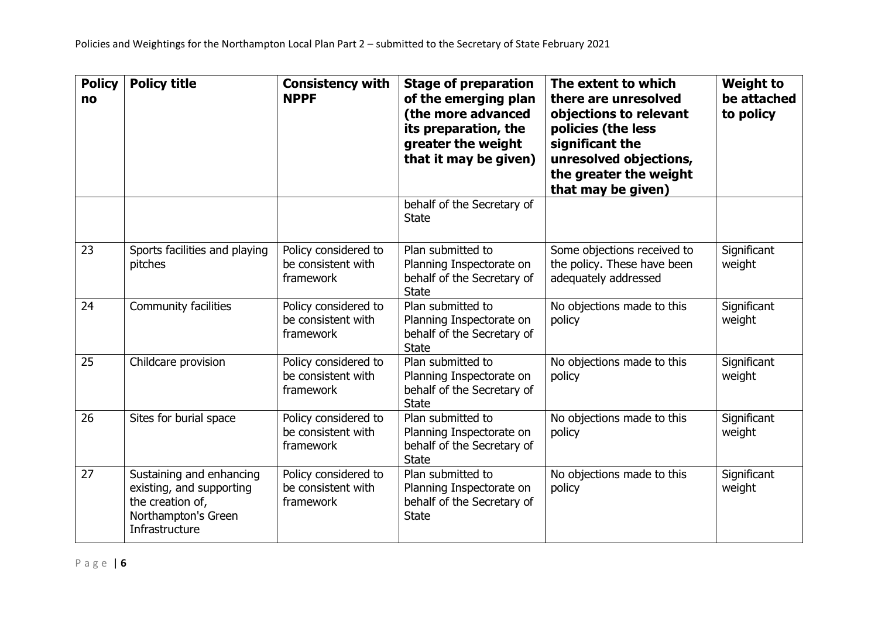| <b>Policy</b><br>no | <b>Policy title</b>                                                                                               | <b>Consistency with</b><br><b>NPPF</b>                  | <b>Stage of preparation</b><br>of the emerging plan<br>(the more advanced<br>its preparation, the<br>greater the weight<br>that it may be given) | The extent to which<br>there are unresolved<br>objections to relevant<br>policies (the less<br>significant the<br>unresolved objections,<br>the greater the weight<br>that may be given) | <b>Weight to</b><br>be attached<br>to policy |
|---------------------|-------------------------------------------------------------------------------------------------------------------|---------------------------------------------------------|--------------------------------------------------------------------------------------------------------------------------------------------------|------------------------------------------------------------------------------------------------------------------------------------------------------------------------------------------|----------------------------------------------|
|                     |                                                                                                                   |                                                         | behalf of the Secretary of<br><b>State</b>                                                                                                       |                                                                                                                                                                                          |                                              |
| 23                  | Sports facilities and playing<br>pitches                                                                          | Policy considered to<br>be consistent with<br>framework | Plan submitted to<br>Planning Inspectorate on<br>behalf of the Secretary of<br><b>State</b>                                                      | Some objections received to<br>the policy. These have been<br>adequately addressed                                                                                                       | Significant<br>weight                        |
| 24                  | <b>Community facilities</b>                                                                                       | Policy considered to<br>be consistent with<br>framework | Plan submitted to<br>Planning Inspectorate on<br>behalf of the Secretary of<br><b>State</b>                                                      | No objections made to this<br>policy                                                                                                                                                     | Significant<br>weight                        |
| 25                  | Childcare provision                                                                                               | Policy considered to<br>be consistent with<br>framework | Plan submitted to<br>Planning Inspectorate on<br>behalf of the Secretary of<br><b>State</b>                                                      | No objections made to this<br>policy                                                                                                                                                     | Significant<br>weight                        |
| 26                  | Sites for burial space                                                                                            | Policy considered to<br>be consistent with<br>framework | Plan submitted to<br>Planning Inspectorate on<br>behalf of the Secretary of<br><b>State</b>                                                      | No objections made to this<br>policy                                                                                                                                                     | Significant<br>weight                        |
| 27                  | Sustaining and enhancing<br>existing, and supporting<br>the creation of,<br>Northampton's Green<br>Infrastructure | Policy considered to<br>be consistent with<br>framework | Plan submitted to<br>Planning Inspectorate on<br>behalf of the Secretary of<br><b>State</b>                                                      | No objections made to this<br>policy                                                                                                                                                     | Significant<br>weight                        |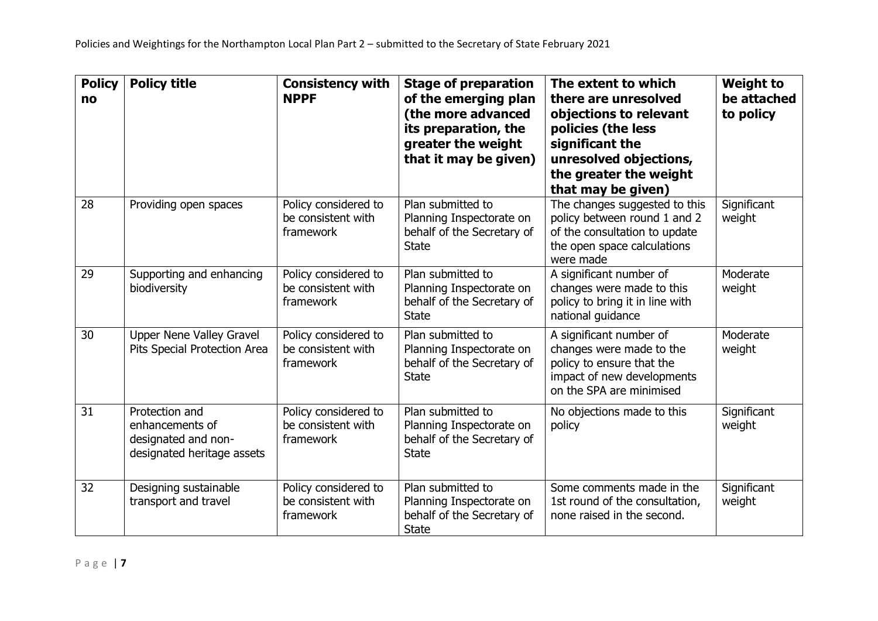| <b>Policy</b><br>no | <b>Policy title</b>                                                                    | <b>Consistency with</b><br><b>NPPF</b>                  | <b>Stage of preparation</b><br>of the emerging plan<br>(the more advanced<br>its preparation, the<br>greater the weight<br>that it may be given) | The extent to which<br>there are unresolved<br>objections to relevant<br>policies (the less<br>significant the<br>unresolved objections,<br>the greater the weight<br>that may be given) | <b>Weight to</b><br>be attached<br>to policy |
|---------------------|----------------------------------------------------------------------------------------|---------------------------------------------------------|--------------------------------------------------------------------------------------------------------------------------------------------------|------------------------------------------------------------------------------------------------------------------------------------------------------------------------------------------|----------------------------------------------|
| 28                  | Providing open spaces                                                                  | Policy considered to<br>be consistent with<br>framework | Plan submitted to<br>Planning Inspectorate on<br>behalf of the Secretary of<br><b>State</b>                                                      | The changes suggested to this<br>policy between round 1 and 2<br>of the consultation to update<br>the open space calculations<br>were made                                               | Significant<br>weight                        |
| 29                  | Supporting and enhancing<br>biodiversity                                               | Policy considered to<br>be consistent with<br>framework | Plan submitted to<br>Planning Inspectorate on<br>behalf of the Secretary of<br><b>State</b>                                                      | A significant number of<br>changes were made to this<br>policy to bring it in line with<br>national quidance                                                                             | Moderate<br>weight                           |
| 30                  | Upper Nene Valley Gravel<br>Pits Special Protection Area                               | Policy considered to<br>be consistent with<br>framework | Plan submitted to<br>Planning Inspectorate on<br>behalf of the Secretary of<br><b>State</b>                                                      | A significant number of<br>changes were made to the<br>policy to ensure that the<br>impact of new developments<br>on the SPA are minimised                                               | Moderate<br>weight                           |
| 31                  | Protection and<br>enhancements of<br>designated and non-<br>designated heritage assets | Policy considered to<br>be consistent with<br>framework | Plan submitted to<br>Planning Inspectorate on<br>behalf of the Secretary of<br><b>State</b>                                                      | No objections made to this<br>policy                                                                                                                                                     | Significant<br>weight                        |
| 32                  | Designing sustainable<br>transport and travel                                          | Policy considered to<br>be consistent with<br>framework | Plan submitted to<br>Planning Inspectorate on<br>behalf of the Secretary of<br><b>State</b>                                                      | Some comments made in the<br>1st round of the consultation,<br>none raised in the second.                                                                                                | Significant<br>weight                        |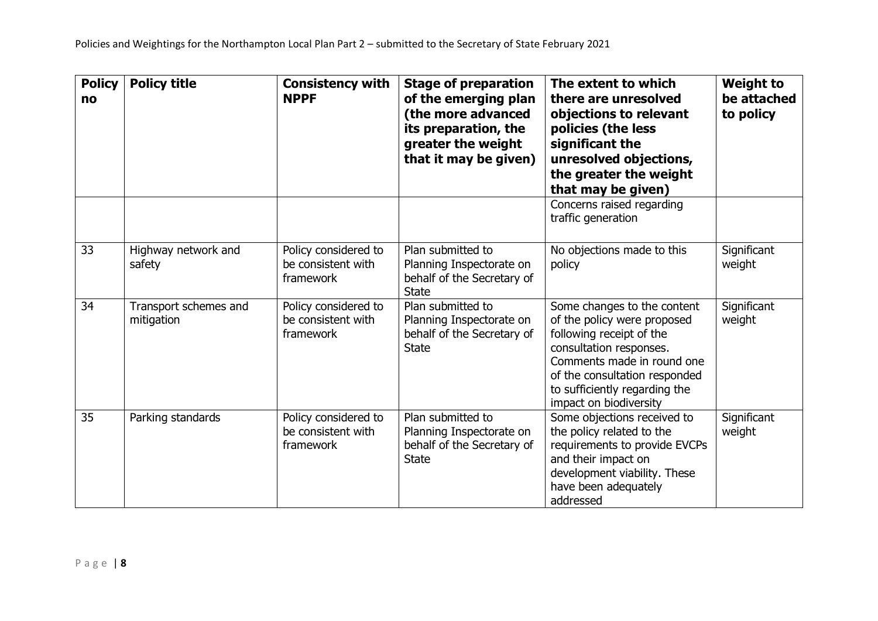| <b>Policy</b><br>no | <b>Policy title</b>                 | <b>Consistency with</b><br><b>NPPF</b>                  | <b>Stage of preparation</b><br>of the emerging plan<br>(the more advanced<br>its preparation, the<br>greater the weight<br>that it may be given) | The extent to which<br>there are unresolved<br>objections to relevant<br>policies (the less<br>significant the<br>unresolved objections,<br>the greater the weight<br>that may be given)                                                    | <b>Weight to</b><br>be attached<br>to policy |
|---------------------|-------------------------------------|---------------------------------------------------------|--------------------------------------------------------------------------------------------------------------------------------------------------|---------------------------------------------------------------------------------------------------------------------------------------------------------------------------------------------------------------------------------------------|----------------------------------------------|
|                     |                                     |                                                         |                                                                                                                                                  | Concerns raised regarding<br>traffic generation                                                                                                                                                                                             |                                              |
| 33                  | Highway network and<br>safety       | Policy considered to<br>be consistent with<br>framework | Plan submitted to<br>Planning Inspectorate on<br>behalf of the Secretary of<br><b>State</b>                                                      | No objections made to this<br>policy                                                                                                                                                                                                        | Significant<br>weight                        |
| 34                  | Transport schemes and<br>mitigation | Policy considered to<br>be consistent with<br>framework | Plan submitted to<br>Planning Inspectorate on<br>behalf of the Secretary of<br><b>State</b>                                                      | Some changes to the content<br>of the policy were proposed<br>following receipt of the<br>consultation responses.<br>Comments made in round one<br>of the consultation responded<br>to sufficiently regarding the<br>impact on biodiversity | Significant<br>weight                        |
| 35                  | Parking standards                   | Policy considered to<br>be consistent with<br>framework | Plan submitted to<br>Planning Inspectorate on<br>behalf of the Secretary of<br><b>State</b>                                                      | Some objections received to<br>the policy related to the<br>requirements to provide EVCPs<br>and their impact on<br>development viability. These<br>have been adequately<br>addressed                                                       | Significant<br>weight                        |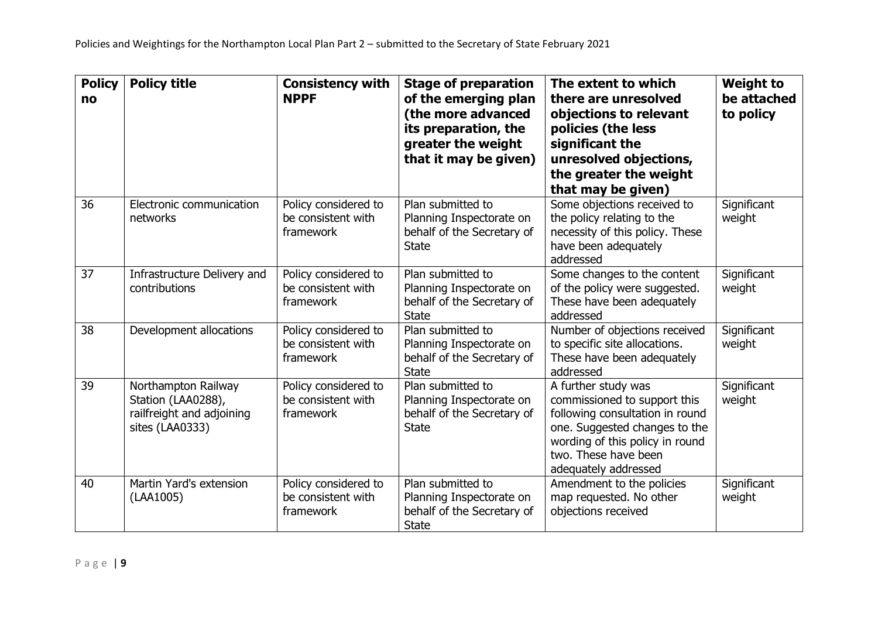| <b>Policy</b><br>no | <b>Policy title</b>                                                                       | <b>Consistency with</b><br><b>NPPF</b>                  | <b>Stage of preparation</b><br>of the emerging plan<br>(the more advanced<br>its preparation, the<br>greater the weight<br>that it may be given) | The extent to which<br>there are unresolved<br>objections to relevant<br>policies (the less<br>significant the<br>unresolved objections,<br>the greater the weight<br>that may be given)                   | <b>Weight to</b><br>be attached<br>to policy |
|---------------------|-------------------------------------------------------------------------------------------|---------------------------------------------------------|--------------------------------------------------------------------------------------------------------------------------------------------------|------------------------------------------------------------------------------------------------------------------------------------------------------------------------------------------------------------|----------------------------------------------|
| 36                  | Electronic communication<br>networks                                                      | Policy considered to<br>be consistent with<br>framework | Plan submitted to<br>Planning Inspectorate on<br>behalf of the Secretary of<br><b>State</b>                                                      | Some objections received to<br>the policy relating to the<br>necessity of this policy. These<br>have been adequately<br>addressed                                                                          | Significant<br>weight                        |
| 37                  | Infrastructure Delivery and<br>contributions                                              | Policy considered to<br>be consistent with<br>framework | Plan submitted to<br>Planning Inspectorate on<br>behalf of the Secretary of<br><b>State</b>                                                      | Some changes to the content<br>of the policy were suggested.<br>These have been adequately<br>addressed                                                                                                    | Significant<br>weight                        |
| 38                  | Development allocations                                                                   | Policy considered to<br>be consistent with<br>framework | Plan submitted to<br>Planning Inspectorate on<br>behalf of the Secretary of<br><b>State</b>                                                      | Number of objections received<br>to specific site allocations.<br>These have been adequately<br>addressed                                                                                                  | Significant<br>weight                        |
| 39                  | Northampton Railway<br>Station (LAA0288),<br>railfreight and adjoining<br>sites (LAA0333) | Policy considered to<br>be consistent with<br>framework | Plan submitted to<br>Planning Inspectorate on<br>behalf of the Secretary of<br><b>State</b>                                                      | A further study was<br>commissioned to support this<br>following consultation in round<br>one. Suggested changes to the<br>wording of this policy in round<br>two. These have been<br>adequately addressed | Significant<br>weight                        |
| 40                  | Martin Yard's extension<br>(LAA1005)                                                      | Policy considered to<br>be consistent with<br>framework | Plan submitted to<br>Planning Inspectorate on<br>behalf of the Secretary of<br><b>State</b>                                                      | Amendment to the policies<br>map requested. No other<br>objections received                                                                                                                                | Significant<br>weight                        |